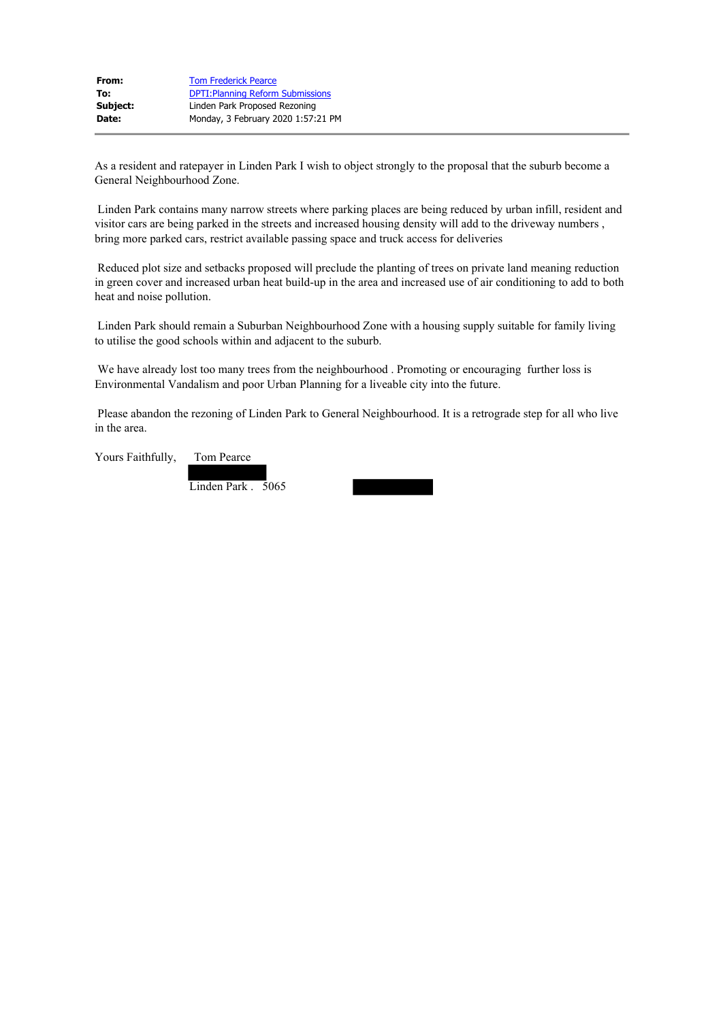| From:    | <b>Tom Frederick Pearce</b>              |
|----------|------------------------------------------|
| To:      | <b>DPTI: Planning Reform Submissions</b> |
| Subject: | Linden Park Proposed Rezoning            |
| Date:    | Monday, 3 February 2020 1:57:21 PM       |

As a resident and ratepayer in Linden Park I wish to object strongly to the proposal that the suburb become a General Neighbourhood Zone.

Linden Park contains many narrow streets where parking places are being reduced by urban infill, resident and visitor cars are being parked in the streets and increased housing density will add to the driveway numbers , bring more parked cars, restrict available passing space and truck access for deliveries

Reduced plot size and setbacks proposed will preclude the planting of trees on private land meaning reduction in green cover and increased urban heat build-up in the area and increased use of air conditioning to add to both heat and noise pollution.

Linden Park should remain a Suburban Neighbourhood Zone with a housing supply suitable for family living to utilise the good schools within and adjacent to the suburb.

We have already lost too many trees from the neighbourhood . Promoting or encouraging further loss is Environmental Vandalism and poor Urban Planning for a liveable city into the future.

Please abandon the rezoning of Linden Park to General Neighbourhood. It is a retrograde step for all who live in the area.

Yours Faithfully, Tom Pearce

Linden Park . 5065